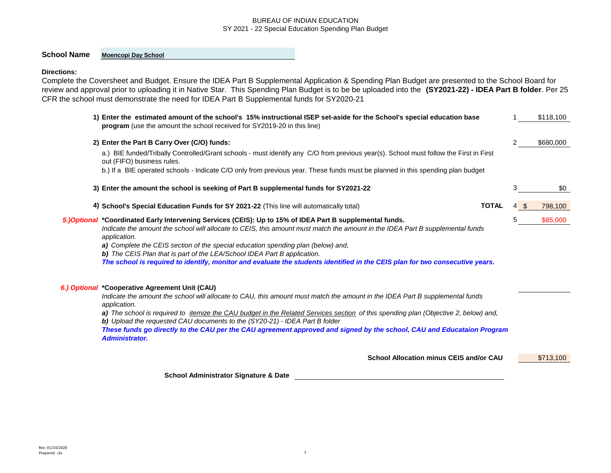# **School Name Moencopi Day School**

#### **Directions:**

Complete the Coversheet and Budget. Ensure the IDEA Part B Supplemental Application & Spending Plan Budget are presented to the School Board for review and approval prior to uploading it in Native Star. This Spending Plan Budget is to be be uploaded into the **(SY2021-22) - IDEA Part B folder**. Per 25 CFR the school must demonstrate the need for IDEA Part B Supplemental funds for SY2020-21

| 1) Enter the estimated amount of the school's 15% instructional ISEP set-aside for the School's special education base<br>program (use the amount the school received for SY2019-20 in this line)                                                                                                                                                                                                                                                                                                                                                                              |   |      | \$118,100 |
|--------------------------------------------------------------------------------------------------------------------------------------------------------------------------------------------------------------------------------------------------------------------------------------------------------------------------------------------------------------------------------------------------------------------------------------------------------------------------------------------------------------------------------------------------------------------------------|---|------|-----------|
| 2) Enter the Part B Carry Over (C/O) funds:                                                                                                                                                                                                                                                                                                                                                                                                                                                                                                                                    | 2 |      | \$680,000 |
| a.) BIE funded/Tribally Controlled/Grant schools - must identify any C/O from previous year(s). School must follow the First in First<br>out (FIFO) business rules.                                                                                                                                                                                                                                                                                                                                                                                                            |   |      |           |
| b.) If a BIE operated schools - Indicate C/O only from previous year. These funds must be planned in this spending plan budget                                                                                                                                                                                                                                                                                                                                                                                                                                                 |   |      |           |
| 3) Enter the amount the school is seeking of Part B supplemental funds for SY2021-22                                                                                                                                                                                                                                                                                                                                                                                                                                                                                           | 3 |      | \$0       |
| <b>TOTAL</b><br>4) School's Special Education Funds for SY 2021-22 (This line will automatically total)                                                                                                                                                                                                                                                                                                                                                                                                                                                                        |   | 4 \$ | 798,100   |
| 5.)Optional *Coordinated Early Intervening Services (CEIS): Up to 15% of IDEA Part B supplemental funds.<br>Indicate the amount the school will allocate to CEIS, this amount must match the amount in the IDEA Part B supplemental funds<br>application.<br>a) Complete the CEIS section of the special education spending plan (below) and,<br><b>b)</b> The CEIS Plan that is part of the LEA/School IDEA Part B application.<br>The school is required to identify, monitor and evaluate the students identified in the CEIS plan for two consecutive years.               | 5 |      | \$85,000  |
| 6.) Optional *Cooperative Agreement Unit (CAU)<br>Indicate the amount the school will allocate to CAU, this amount must match the amount in the IDEA Part B supplemental funds<br>application.<br>a) The school is required to <i>itemize the CAU budget in the Related Services section</i> of this spending plan (Objective 2, below) and,<br>b) Upload the requested CAU documents to the (SY20-21) - IDEA Part B folder<br>These funds go directly to the CAU per the CAU agreement approved and signed by the school, CAU and Educataion Program<br><b>Administrator.</b> |   |      |           |
| <b>School Allocation minus CEIS and/or CAU</b>                                                                                                                                                                                                                                                                                                                                                                                                                                                                                                                                 |   |      | \$713,100 |

Rev: 01/14/2020 Prepared: cla 1

6.)

**School Administrator Signature & Date**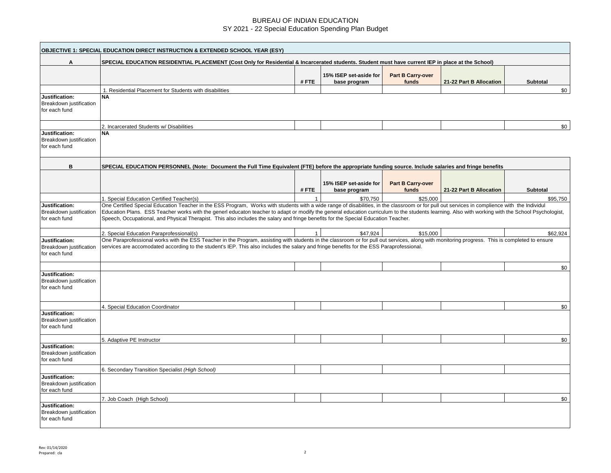| <b>OBJECTIVE 1: SPECIAL EDUCATION DIRECT INSTRUCTION &amp; EXTENDED SCHOOL YEAR (ESY)</b> |                                                                                                                                                                                                                                                                                                                                                                                                                                                                                                                                          |              |                                        |                            |                         |                 |  |
|-------------------------------------------------------------------------------------------|------------------------------------------------------------------------------------------------------------------------------------------------------------------------------------------------------------------------------------------------------------------------------------------------------------------------------------------------------------------------------------------------------------------------------------------------------------------------------------------------------------------------------------------|--------------|----------------------------------------|----------------------------|-------------------------|-----------------|--|
| Α                                                                                         | SPECIAL EDUCATION RESIDENTIAL PLACEMENT (Cost Only for Residential & Incarcerated students. Student must have current IEP in place at the School)                                                                                                                                                                                                                                                                                                                                                                                        |              |                                        |                            |                         |                 |  |
|                                                                                           |                                                                                                                                                                                                                                                                                                                                                                                                                                                                                                                                          | #FTE         | 15% ISEP set-aside for<br>base program | Part B Carry-over<br>funds | 21-22 Part B Allocation | Subtotal        |  |
|                                                                                           | 1. Residential Placement for Students with disabilities                                                                                                                                                                                                                                                                                                                                                                                                                                                                                  |              |                                        |                            |                         | \$0             |  |
| Justification:<br>Breakdown justification<br>for each fund                                | NΑ                                                                                                                                                                                                                                                                                                                                                                                                                                                                                                                                       |              |                                        |                            |                         |                 |  |
|                                                                                           | 2. Incarcerated Students w/ Disabilities                                                                                                                                                                                                                                                                                                                                                                                                                                                                                                 |              |                                        |                            |                         | \$0             |  |
| Justification:<br>Breakdown justification<br>for each fund                                | NΑ                                                                                                                                                                                                                                                                                                                                                                                                                                                                                                                                       |              |                                        |                            |                         |                 |  |
| в                                                                                         | SPECIAL EDUCATION PERSONNEL (Note: Document the Full Time Equivalent (FTE) before the appropriate funding source. Include salaries and fringe benefits                                                                                                                                                                                                                                                                                                                                                                                   |              |                                        |                            |                         |                 |  |
|                                                                                           |                                                                                                                                                                                                                                                                                                                                                                                                                                                                                                                                          | #FTE         | 15% ISEP set-aside for<br>base program | Part B Carry-over<br>funds | 21-22 Part B Allocation | <b>Subtotal</b> |  |
|                                                                                           | 1. Special Education Certified Teacher(s)                                                                                                                                                                                                                                                                                                                                                                                                                                                                                                | $\mathbf{1}$ | \$70,750                               | \$25,000                   |                         | \$95,750        |  |
| Justification:<br>Breakdown justification<br>for each fund                                | One Certified Special Education Teacher in the ESS Program, Works with students with a wide range of disabilities, in the classroom or for pull out services in complience with the Individul<br>Education Plans. ESS Teacher works with the generl educaton teacher to adapt or modify the general education curriculum to the students learning. Also with working with the School Psychologist,<br>Speech, Occupational, and Physical Therapist. This also includes the salary and fringe benefits for the Special Education Teacher. |              |                                        |                            |                         |                 |  |
|                                                                                           | 2. Special Education Paraprofessional(s)                                                                                                                                                                                                                                                                                                                                                                                                                                                                                                 |              | \$47,924                               | \$15,000                   |                         | \$62,924        |  |
| Justification:<br>Breakdown justification<br>for each fund                                | One Paraprofessional works with the ESS Teacher in the Program, assisting with students in the classroom or for pull out services, along with monitoring progress. This is completed to ensure<br>services are accomodated according to the student's IEP. This also includes the salary and fringe benefits for the ESS Paraprofessional.                                                                                                                                                                                               |              |                                        |                            |                         |                 |  |
|                                                                                           |                                                                                                                                                                                                                                                                                                                                                                                                                                                                                                                                          |              |                                        |                            |                         | \$0             |  |
| Justification:<br>Breakdown justification<br>for each fund                                |                                                                                                                                                                                                                                                                                                                                                                                                                                                                                                                                          |              |                                        |                            |                         |                 |  |
|                                                                                           | 4. Special Education Coordinator                                                                                                                                                                                                                                                                                                                                                                                                                                                                                                         |              |                                        |                            |                         | \$0             |  |
| Justification:<br>Breakdown justification<br>for each fund                                |                                                                                                                                                                                                                                                                                                                                                                                                                                                                                                                                          |              |                                        |                            |                         |                 |  |
|                                                                                           | 5. Adaptive PE Instructor                                                                                                                                                                                                                                                                                                                                                                                                                                                                                                                |              |                                        |                            |                         | \$0             |  |
| Justification:<br>Breakdown justification<br>for each fund                                |                                                                                                                                                                                                                                                                                                                                                                                                                                                                                                                                          |              |                                        |                            |                         |                 |  |
|                                                                                           | 6. Secondary Transition Specialist (High School)                                                                                                                                                                                                                                                                                                                                                                                                                                                                                         |              |                                        |                            |                         |                 |  |
| Justification:<br>Breakdown justification<br>for each fund                                |                                                                                                                                                                                                                                                                                                                                                                                                                                                                                                                                          |              |                                        |                            |                         |                 |  |
|                                                                                           | 7. Job Coach (High School)                                                                                                                                                                                                                                                                                                                                                                                                                                                                                                               |              |                                        |                            |                         | \$0             |  |
| Justification:<br>Breakdown justification<br>for each fund                                |                                                                                                                                                                                                                                                                                                                                                                                                                                                                                                                                          |              |                                        |                            |                         |                 |  |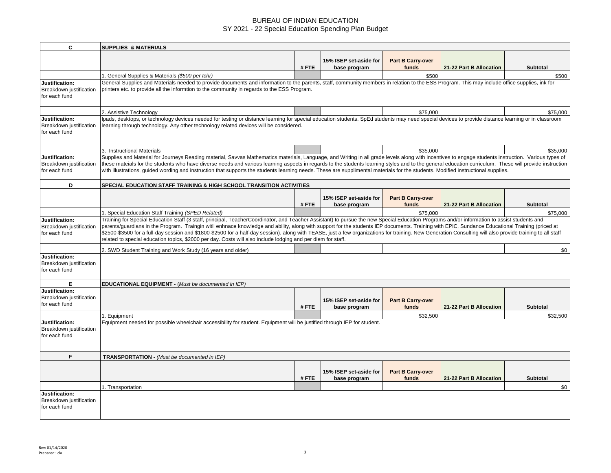| C                                                          | <b>SUPPLIES &amp; MATERIALS</b>                                                                                                                                                                                                                                                                                                                                                                                                                                                                                                                                                                                                                                                                                              |      |                                        |                                   |                         |                 |  |
|------------------------------------------------------------|------------------------------------------------------------------------------------------------------------------------------------------------------------------------------------------------------------------------------------------------------------------------------------------------------------------------------------------------------------------------------------------------------------------------------------------------------------------------------------------------------------------------------------------------------------------------------------------------------------------------------------------------------------------------------------------------------------------------------|------|----------------------------------------|-----------------------------------|-------------------------|-----------------|--|
|                                                            |                                                                                                                                                                                                                                                                                                                                                                                                                                                                                                                                                                                                                                                                                                                              | #FTE | 15% ISEP set-aside for<br>base program | Part B Carry-over<br>funds        | 21-22 Part B Allocation | <b>Subtotal</b> |  |
|                                                            |                                                                                                                                                                                                                                                                                                                                                                                                                                                                                                                                                                                                                                                                                                                              |      |                                        |                                   |                         |                 |  |
| Justification:<br>Breakdown iustification<br>for each fund | 1. General Supplies & Materials (\$500 per tchr)<br>\$500<br>\$500<br>General Supplies and Materials needed to provide documents and information to the parents, staff, community members in relation to the ESS Program. This may include office supplies, ink for<br>printers etc. to provide all the informtion to the community in regards to the ESS Program.                                                                                                                                                                                                                                                                                                                                                           |      |                                        |                                   |                         |                 |  |
|                                                            | 2. Assistive Technology                                                                                                                                                                                                                                                                                                                                                                                                                                                                                                                                                                                                                                                                                                      |      |                                        | \$75.000                          |                         | \$75,000        |  |
| Justification:<br>Breakdown justification<br>for each fund | lpads, desktops, or technology devices needed for testing or distance learning for special education students. SpEd students may need special devices to provide distance learning or in classroom<br>learning through technology. Any other technology related devices will be considered.                                                                                                                                                                                                                                                                                                                                                                                                                                  |      |                                        |                                   |                         |                 |  |
|                                                            | 3. Instructional Materials                                                                                                                                                                                                                                                                                                                                                                                                                                                                                                                                                                                                                                                                                                   |      |                                        | \$35,000                          |                         | \$35,000        |  |
| Justification:<br>Breakdown justification<br>for each fund | Supplies and Material for Journeys Reading material, Savvas Mathematics materials, Language, and Writing in all grade levels along with incentives to engage students instruction. Various types of<br>these mateials for the students who have diverse needs and various learning aspects in regards to the students learning styles and to the general education curriculum. These will provide instruction<br>with illustrations, guided wording and instruction that supports the students learning needs. These are supplimental materials for the students. Modified instructional supplies.                                                                                                                           |      |                                        |                                   |                         |                 |  |
| D                                                          | SPECIAL EDUCATION STAFF TRAINING & HIGH SCHOOL TRANSITION ACTIVITIES                                                                                                                                                                                                                                                                                                                                                                                                                                                                                                                                                                                                                                                         |      |                                        |                                   |                         |                 |  |
|                                                            |                                                                                                                                                                                                                                                                                                                                                                                                                                                                                                                                                                                                                                                                                                                              | #FTE | 15% ISEP set-aside for<br>base program | <b>Part B Carry-over</b><br>funds | 21-22 Part B Allocation | <b>Subtotal</b> |  |
|                                                            | 1. Special Education Staff Training (SPED Related)                                                                                                                                                                                                                                                                                                                                                                                                                                                                                                                                                                                                                                                                           |      |                                        | \$75,000                          |                         | \$75,000        |  |
| Justification:<br>Breakdown justification<br>for each fund | Training for Special Education Staff (3 staff, principal, TeacherCoordinator, and Teacher Assistant) to pursue the new Special Education Programs and/or information to assist students and<br>parents/guardians in the Program. Traingin witll enhnace knowledge and ability, along with support for the students IEP documents. Training with EPIC, Sundance Educational Training (priced at<br>\$2500-\$3500 for a full-day session and \$1800-\$2500 for a half-day session), along with TEASE, just a few organizations for training. New Generation Consulting will also provide training to all staff<br>related to special education topics, \$2000 per day. Costs will also include lodging and per diem for staff. |      |                                        |                                   |                         |                 |  |
|                                                            | 2. SWD Student Training and Work Study (16 years and older)                                                                                                                                                                                                                                                                                                                                                                                                                                                                                                                                                                                                                                                                  |      |                                        |                                   |                         | \$0             |  |
| Justification:<br>Breakdown justification<br>for each fund |                                                                                                                                                                                                                                                                                                                                                                                                                                                                                                                                                                                                                                                                                                                              |      |                                        |                                   |                         |                 |  |
| E                                                          | <b>EDUCATIONAL EQUIPMENT - (Must be documented in IEP)</b>                                                                                                                                                                                                                                                                                                                                                                                                                                                                                                                                                                                                                                                                   |      |                                        |                                   |                         |                 |  |
| Justification:<br>Breakdown justification<br>for each fund |                                                                                                                                                                                                                                                                                                                                                                                                                                                                                                                                                                                                                                                                                                                              | #FTE | 15% ISEP set-aside for<br>base program | <b>Part B Carry-over</b><br>funds | 21-22 Part B Allocation | Subtotal        |  |
|                                                            | 1. Equipment                                                                                                                                                                                                                                                                                                                                                                                                                                                                                                                                                                                                                                                                                                                 |      |                                        | \$32,500                          |                         | \$32,500        |  |
| Justification:<br>Breakdown justification<br>for each fund | Equipment needed for possible wheelchair accessibility for student. Equipment will be justified through IEP for student.                                                                                                                                                                                                                                                                                                                                                                                                                                                                                                                                                                                                     |      |                                        |                                   |                         |                 |  |
| F.                                                         | TRANSPORTATION - (Must be documented in IEP)                                                                                                                                                                                                                                                                                                                                                                                                                                                                                                                                                                                                                                                                                 |      |                                        |                                   |                         |                 |  |
|                                                            |                                                                                                                                                                                                                                                                                                                                                                                                                                                                                                                                                                                                                                                                                                                              | #FTE | 15% ISEP set-aside for<br>base program | <b>Part B Carry-over</b><br>funds | 21-22 Part B Allocation | Subtotal        |  |
|                                                            | 1. Transportation                                                                                                                                                                                                                                                                                                                                                                                                                                                                                                                                                                                                                                                                                                            |      |                                        |                                   |                         | \$0             |  |
| Justification:<br>Breakdown justification<br>for each fund |                                                                                                                                                                                                                                                                                                                                                                                                                                                                                                                                                                                                                                                                                                                              |      |                                        |                                   |                         |                 |  |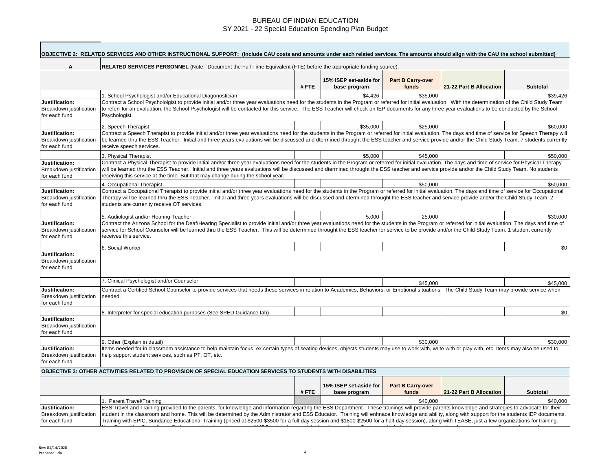|                                                            | OBJECTIVE 2: RELATED SERVICES AND OTHER INSTRUCTIONAL SUPPORT: (Include CAU costs and amounts under each related services. The amounts should align with the CAU the school submitted)                                                                                                                                                                                                                                                                                                                                                                                                                        |      |                                        |                            |                         |                 |
|------------------------------------------------------------|---------------------------------------------------------------------------------------------------------------------------------------------------------------------------------------------------------------------------------------------------------------------------------------------------------------------------------------------------------------------------------------------------------------------------------------------------------------------------------------------------------------------------------------------------------------------------------------------------------------|------|----------------------------------------|----------------------------|-------------------------|-----------------|
| A                                                          | RELATED SERVICES PERSONNEL (Note: Document the Full Time Equivalent (FTE) before the appropriate funding source).                                                                                                                                                                                                                                                                                                                                                                                                                                                                                             |      |                                        |                            |                         |                 |
|                                                            |                                                                                                                                                                                                                                                                                                                                                                                                                                                                                                                                                                                                               | #FTE | 15% ISEP set-aside for<br>base program | Part B Carry-over<br>funds | 21-22 Part B Allocation | <b>Subtotal</b> |
|                                                            | 1. School Psychologist and/or Educational Diagonostician                                                                                                                                                                                                                                                                                                                                                                                                                                                                                                                                                      |      | \$4.426                                | \$35,000                   |                         | \$39,426        |
| Justification:<br>Breakdown justification<br>for each fund | Contract a School Psychololgist to provide initial and/or three year evaluations need for the students in the Program or referred for initial evaluation. With the determination of the Child Study Team<br>to referr for an evaluation, the School Psychologist will be contacted for this service. The ESS Teacher will check on IEP documents for any three year evaluations to be conducted by the School<br>Psychologist.                                                                                                                                                                                |      |                                        |                            |                         |                 |
|                                                            | 2. Speech Therapist                                                                                                                                                                                                                                                                                                                                                                                                                                                                                                                                                                                           |      | \$35,000                               | \$25,000                   |                         | \$60,000        |
| Justification:<br>Breakdown justification<br>for each fund | Contract a Speech Therapist to provide initial and/or three year evaluations need for the students in the Program or referred for initial evaluation. The days and time of service for Speech Therapy will<br>be learned thru the ESS Teacher. Initial and three years evaluations will be discussed and dtermined throught the ESS teacher and service provide and/or the Child Study Team. 7 students currently<br>receive speech services.                                                                                                                                                                 |      |                                        |                            |                         |                 |
|                                                            | 3. Physical Therapist                                                                                                                                                                                                                                                                                                                                                                                                                                                                                                                                                                                         |      | \$5.000                                | \$45,000                   |                         | \$50,000        |
| Justification:<br>Breakdown justification<br>for each fund | Contract a Physical Therapist to provide initial and/or three year evaluations need for the students in the Program or referred for initial evaluation. The days and time of service for Physical Therapy<br>will be learned thru the ESS Teacher. Initial and three years evaluations will be discussed and dtermined throught the ESS teacher and service provide and/or the Child Study Team. No students<br>receiving this service at the time. But that may change during the school year.                                                                                                               |      |                                        |                            |                         |                 |
|                                                            | 4. Occupational Therapist                                                                                                                                                                                                                                                                                                                                                                                                                                                                                                                                                                                     |      |                                        | \$50,000                   |                         | \$50,000        |
| Justification:<br>Breakdown justification<br>for each fund | Contract a Occupational Therapist to provide initial and/or three year evaluations need for the students in the Program or referred for initial evaluation. The days and time of service for Occupational<br>Therapy will be learned thru the ESS Teacher. Initial and three years evaluations will be discussed and dtermined throught the ESS teacher and service provide and/or the Child Study Team. 2<br>students are currenlty receive OT services.                                                                                                                                                     |      |                                        |                            |                         |                 |
|                                                            | 5. Audiologist and/or Hearing Teacher                                                                                                                                                                                                                                                                                                                                                                                                                                                                                                                                                                         |      | 5.000                                  | 25.000                     |                         | \$30,000        |
| Justification:<br>Breakdown justification<br>for each fund | Contract the Arizona School for the Deaf/Hearing Specialist to provide initial and/or three year evaluations need for the students in the Program or referred for initial evaluation. The days and time of<br>service for School Counselor will be learned thru the ESS Teacher. This will be determined throught the ESS teacher for service to be provide and/or the Child Study Team. 1 student currently<br>receives this service.                                                                                                                                                                        |      |                                        |                            |                         |                 |
|                                                            | 6. Social Worker                                                                                                                                                                                                                                                                                                                                                                                                                                                                                                                                                                                              |      |                                        |                            |                         | \$0             |
| Justification:<br>Breakdown justification<br>for each fund |                                                                                                                                                                                                                                                                                                                                                                                                                                                                                                                                                                                                               |      |                                        |                            |                         |                 |
|                                                            | 7. Clinical Psychologist and/or Counselor                                                                                                                                                                                                                                                                                                                                                                                                                                                                                                                                                                     |      |                                        | \$45,000                   |                         | \$45,000        |
| Justification:<br>Breakdown justification<br>for each fund | Contract a Certified School Counselor to provide services that needs these services in relation to Academics, Behaviors, or Emotional situations. The Child Study Team may provide service when<br>needed.                                                                                                                                                                                                                                                                                                                                                                                                    |      |                                        |                            |                         |                 |
|                                                            | 8. Interpreter for special education purposes (See SPED Guidance tab)                                                                                                                                                                                                                                                                                                                                                                                                                                                                                                                                         |      |                                        |                            |                         | \$0             |
| Justification:<br>Breakdown justification<br>for each fund |                                                                                                                                                                                                                                                                                                                                                                                                                                                                                                                                                                                                               |      |                                        |                            |                         |                 |
|                                                            | 9. Other (Explain in detail)                                                                                                                                                                                                                                                                                                                                                                                                                                                                                                                                                                                  |      |                                        | \$30,000                   |                         | \$30,000        |
| Justification:<br>Breakdown justification<br>for each fund | Items needed for in classroom assistance to help maintain focus, ex.certain types of seating devices, objects students may use to work with, write with or play with, etc. Items may also be used to<br>help support student services, such as PT, OT, etc.                                                                                                                                                                                                                                                                                                                                                   |      |                                        |                            |                         |                 |
|                                                            | OBJECTIVE 3: OTHER ACTIVITIES RELATED TO PROVISION OF SPECIAL EDUCATION SERVICES TO STUDENTS WITH DISABILITIES                                                                                                                                                                                                                                                                                                                                                                                                                                                                                                |      |                                        |                            |                         |                 |
|                                                            |                                                                                                                                                                                                                                                                                                                                                                                                                                                                                                                                                                                                               | #FTE | 15% ISEP set-aside for<br>base program | Part B Carry-over<br>funds | 21-22 Part B Allocation | <b>Subtotal</b> |
|                                                            | 1. Parent Travel/Training                                                                                                                                                                                                                                                                                                                                                                                                                                                                                                                                                                                     |      |                                        | \$40,000                   |                         | \$40,000        |
| Justification:<br>Breakdown justification<br>for each fund | ESS Travel and Training provided to the parents, for knowledge and information regardng the ESS Department. These trainings will provide parents knowledge and strategies to advocate for their<br>student in the classroom and home. This will be determined by the Administrator and ESS Educator. Training will enhnace knowledge and ability, along with support for the students IEP documents.<br>Training with EPIC, Sundance Educational Training (priced at \$2500-\$3500 for a full-day session and \$1800-\$2500 for a half-day session), along with TEASE, just a few organizations for training. |      |                                        |                            |                         |                 |
|                                                            |                                                                                                                                                                                                                                                                                                                                                                                                                                                                                                                                                                                                               |      |                                        |                            |                         |                 |